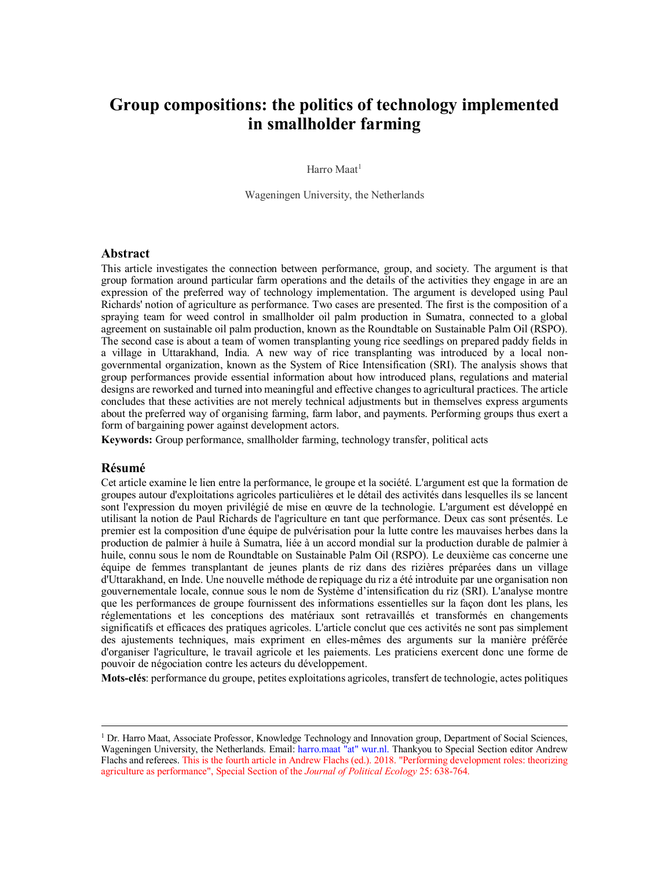# **Group compositions: the politics of technology implemented in smallholder farming**

Harro Maat<sup>1</sup>

Wageningen University, the Netherlands

#### **Abstract**

This article investigates the connection between performance, group, and society. The argument is that group formation around particular farm operations and the details of the activities they engage in are an expression of the preferred way of technology implementation. The argument is developed using Paul Richards' notion of agriculture as performance. Two cases are presented. The first is the composition of a spraying team for weed control in smallholder oil palm production in Sumatra, connected to a global agreement on sustainable oil palm production, known as the Roundtable on Sustainable Palm Oil (RSPO). The second case is about a team of women transplanting young rice seedlings on prepared paddy fields in a village in Uttarakhand, India. A new way of rice transplanting was introduced by a local nongovernmental organization, known as the System of Rice Intensification (SRI). The analysis shows that group performances provide essential information about how introduced plans, regulations and material designs are reworked and turned into meaningful and effective changes to agricultural practices. The article concludes that these activities are not merely technical adjustments but in themselves express arguments about the preferred way of organising farming, farm labor, and payments. Performing groups thus exert a form of bargaining power against development actors.

**Keywords:** Group performance, smallholder farming, technology transfer, political acts

#### **Résumé**

ł

Cet article examine le lien entre la performance, le groupe et la société. L'argument est que la formation de groupes autour d'exploitations agricoles particulières et le détail des activités dans lesquelles ils se lancent sont l'expression du moyen privilégié de mise en œuvre de la technologie. L'argument est développé en utilisant la notion de Paul Richards de l'agriculture en tant que performance. Deux cas sont présentés. Le premier est la composition d'une équipe de pulvérisation pour la lutte contre les mauvaises herbes dans la production de palmier à huile à Sumatra, liée à un accord mondial sur la production durable de palmier à huile, connu sous le nom de Roundtable on Sustainable Palm Oil (RSPO). Le deuxième cas concerne une équipe de femmes transplantant de jeunes plants de riz dans des rizières préparées dans un village d'Uttarakhand, en Inde. Une nouvelle méthode de repiquage du riz a été introduite par une organisation non gouvernementale locale, connue sous le nom de Système d'intensification du riz (SRI). L'analyse montre que les performances de groupe fournissent des informations essentielles sur la façon dont les plans, les réglementations et les conceptions des matériaux sont retravaillés et transformés en changements significatifs et efficaces des pratiques agricoles. L'article conclut que ces activités ne sont pas simplement des ajustements techniques, mais expriment en elles-mêmes des arguments sur la manière préférée d'organiser l'agriculture, le travail agricole et les paiements. Les praticiens exercent donc une forme de pouvoir de négociation contre les acteurs du développement.

**Mots-clés**: performance du groupe, petites exploitations agricoles, transfert de technologie, actes politiques

<span id="page-0-0"></span><sup>&</sup>lt;sup>1</sup> Dr. Harro Maat, Associate Professor, Knowledge Technology and Innovation group, Department of Social Sciences, Wageningen University, the Netherlands. Email: harro.maat "at" wur.nl. Thankyou to Special Section editor Andrew Flachs and referees. This is the fourth article in Andrew Flachs (ed.). 2018. "Performing development roles: theorizing agriculture as performance", Special Section of the *Journal of Political Ecology* 25: 638-764.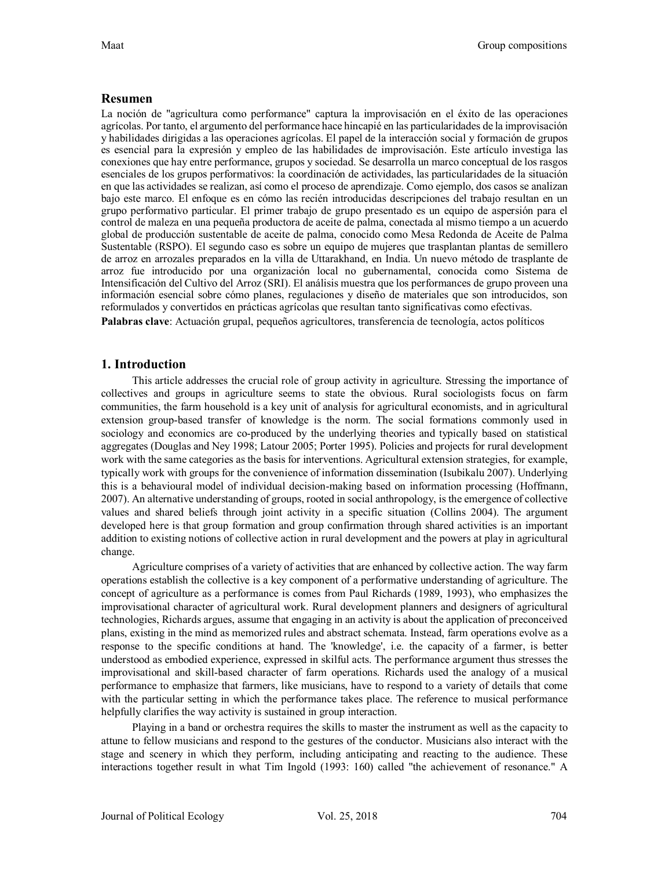### **Resumen**

La noción de "agricultura como performance" captura la improvisación en el éxito de las operaciones agrícolas. Por tanto, el argumento del performance hace hincapié en las particularidades de la improvisación y habilidades dirigidas a las operaciones agrícolas. El papel de la interacción social y formación de grupos es esencial para la expresión y empleo de las habilidades de improvisación. Este artículo investiga las conexiones que hay entre performance, grupos y sociedad. Se desarrolla un marco conceptual de los rasgos esenciales de los grupos performativos: la coordinación de actividades, las particularidades de la situación en que las actividades se realizan, así como el proceso de aprendizaje. Como ejemplo, dos casos se analizan bajo este marco. El enfoque es en cómo las recién introducidas descripciones del trabajo resultan en un grupo performativo particular. El primer trabajo de grupo presentado es un equipo de aspersión para el control de maleza en una pequeña productora de aceite de palma, conectada al mismo tiempo a un acuerdo global de producción sustentable de aceite de palma, conocido como Mesa Redonda de Aceite de Palma Sustentable (RSPO). El segundo caso es sobre un equipo de mujeres que trasplantan plantas de semillero de arroz en arrozales preparados en la villa de Uttarakhand, en India. Un nuevo método de trasplante de arroz fue introducido por una organización local no gubernamental, conocida como Sistema de Intensificación del Cultivo del Arroz (SRI). El análisis muestra que los performances de grupo proveen una información esencial sobre cómo planes, regulaciones y diseño de materiales que son introducidos, son reformulados y convertidos en prácticas agrícolas que resultan tanto significativas como efectivas.

**Palabras clave**: Actuación grupal, pequeños agricultores, transferencia de tecnología, actos políticos

### **1. Introduction**

This article addresses the crucial role of group activity in agriculture. Stressing the importance of collectives and groups in agriculture seems to state the obvious. Rural sociologists focus on farm communities, the farm household is a key unit of analysis for agricultural economists, and in agricultural extension group-based transfer of knowledge is the norm. The social formations commonly used in sociology and economics are co-produced by the underlying theories and typically based on statistical aggregates (Douglas and Ney 1998; Latour 2005; Porter 1995). Policies and projects for rural development work with the same categories as the basis for interventions. Agricultural extension strategies, for example, typically work with groups for the convenience of information dissemination (Isubikalu 2007). Underlying this is a behavioural model of individual decision-making based on information processing (Hoffmann, 2007). An alternative understanding of groups, rooted in social anthropology, is the emergence of collective values and shared beliefs through joint activity in a specific situation (Collins 2004). The argument developed here is that group formation and group confirmation through shared activities is an important addition to existing notions of collective action in rural development and the powers at play in agricultural change.

Agriculture comprises of a variety of activities that are enhanced by collective action. The way farm operations establish the collective is a key component of a performative understanding of agriculture. The concept of agriculture as a performance is comes from Paul Richards (1989, 1993), who emphasizes the improvisational character of agricultural work. Rural development planners and designers of agricultural technologies, Richards argues, assume that engaging in an activity is about the application of preconceived plans, existing in the mind as memorized rules and abstract schemata. Instead, farm operations evolve as a response to the specific conditions at hand. The 'knowledge', i.e. the capacity of a farmer, is better understood as embodied experience, expressed in skilful acts. The performance argument thus stresses the improvisational and skill-based character of farm operations. Richards used the analogy of a musical performance to emphasize that farmers, like musicians, have to respond to a variety of details that come with the particular setting in which the performance takes place. The reference to musical performance helpfully clarifies the way activity is sustained in group interaction.

Playing in a band or orchestra requires the skills to master the instrument as well as the capacity to attune to fellow musicians and respond to the gestures of the conductor. Musicians also interact with the stage and scenery in which they perform, including anticipating and reacting to the audience. These interactions together result in what Tim Ingold (1993: 160) called "the achievement of resonance." A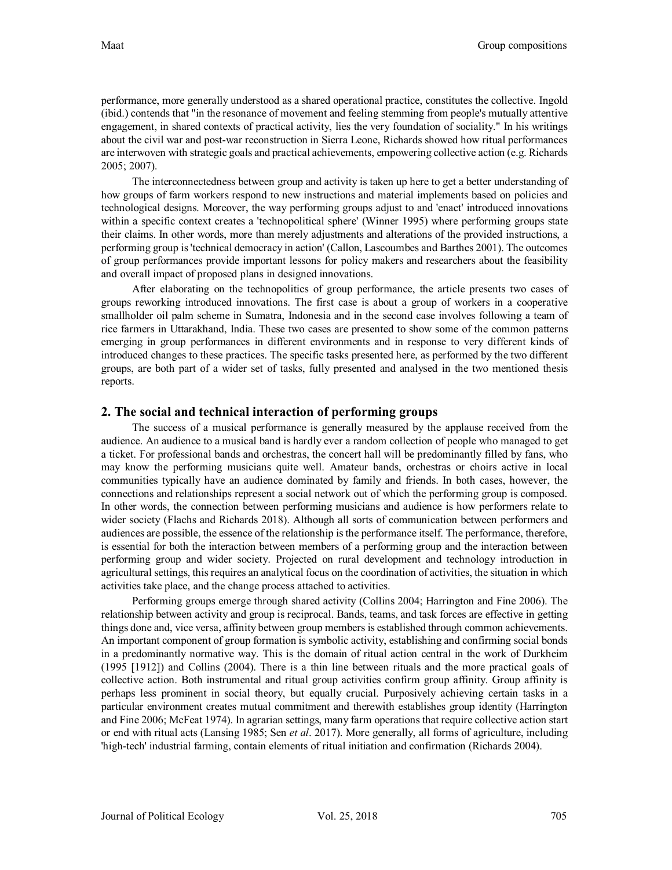performance, more generally understood as a shared operational practice, constitutes the collective. Ingold (ibid.) contends that "in the resonance of movement and feeling stemming from people's mutually attentive engagement, in shared contexts of practical activity, lies the very foundation of sociality." In his writings about the civil war and post-war reconstruction in Sierra Leone, Richards showed how ritual performances are interwoven with strategic goals and practical achievements, empowering collective action (e.g. Richards 2005; 2007).

The interconnectedness between group and activity is taken up here to get a better understanding of how groups of farm workers respond to new instructions and material implements based on policies and technological designs. Moreover, the way performing groups adjust to and 'enact' introduced innovations within a specific context creates a 'technopolitical sphere' (Winner 1995) where performing groups state their claims. In other words, more than merely adjustments and alterations of the provided instructions, a performing group is 'technical democracy in action' (Callon, Lascoumbes and Barthes 2001). The outcomes of group performances provide important lessons for policy makers and researchers about the feasibility and overall impact of proposed plans in designed innovations.

After elaborating on the technopolitics of group performance, the article presents two cases of groups reworking introduced innovations. The first case is about a group of workers in a cooperative smallholder oil palm scheme in Sumatra, Indonesia and in the second case involves following a team of rice farmers in Uttarakhand, India. These two cases are presented to show some of the common patterns emerging in group performances in different environments and in response to very different kinds of introduced changes to these practices. The specific tasks presented here, as performed by the two different groups, are both part of a wider set of tasks, fully presented and analysed in the two mentioned thesis reports.

#### **2. The social and technical interaction of performing groups**

The success of a musical performance is generally measured by the applause received from the audience. An audience to a musical band is hardly ever a random collection of people who managed to get a ticket. For professional bands and orchestras, the concert hall will be predominantly filled by fans, who may know the performing musicians quite well. Amateur bands, orchestras or choirs active in local communities typically have an audience dominated by family and friends. In both cases, however, the connections and relationships represent a social network out of which the performing group is composed. In other words, the connection between performing musicians and audience is how performers relate to wider society (Flachs and Richards 2018). Although all sorts of communication between performers and audiences are possible, the essence of the relationship is the performance itself. The performance, therefore, is essential for both the interaction between members of a performing group and the interaction between performing group and wider society. Projected on rural development and technology introduction in agricultural settings, this requires an analytical focus on the coordination of activities, the situation in which activities take place, and the change process attached to activities.

Performing groups emerge through shared activity (Collins 2004; Harrington and Fine 2006). The relationship between activity and group is reciprocal. Bands, teams, and task forces are effective in getting things done and, vice versa, affinity between group members is established through common achievements. An important component of group formation is symbolic activity, establishing and confirming social bonds in a predominantly normative way. This is the domain of ritual action central in the work of Durkheim (1995 [1912]) and Collins (2004). There is a thin line between rituals and the more practical goals of collective action. Both instrumental and ritual group activities confirm group affinity. Group affinity is perhaps less prominent in social theory, but equally crucial. Purposively achieving certain tasks in a particular environment creates mutual commitment and therewith establishes group identity (Harrington and Fine 2006; McFeat 1974). In agrarian settings, many farm operations that require collective action start or end with ritual acts (Lansing 1985; Sen *et al*. 2017). More generally, all forms of agriculture, including 'high-tech' industrial farming, contain elements of ritual initiation and confirmation (Richards 2004).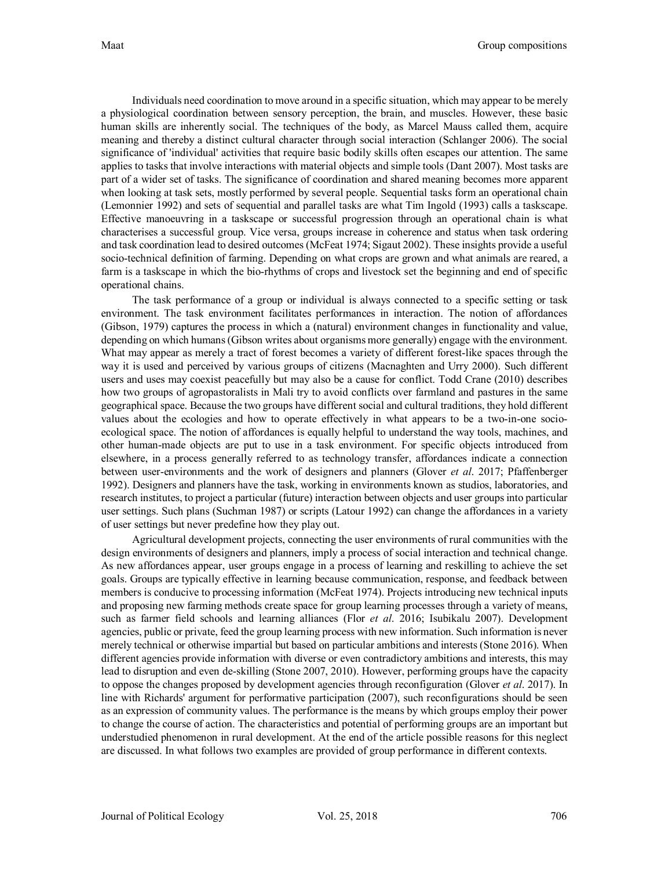Individuals need coordination to move around in a specific situation, which may appear to be merely a physiological coordination between sensory perception, the brain, and muscles. However, these basic human skills are inherently social. The techniques of the body, as Marcel Mauss called them, acquire meaning and thereby a distinct cultural character through social interaction (Schlanger 2006). The social significance of 'individual' activities that require basic bodily skills often escapes our attention. The same applies to tasks that involve interactions with material objects and simple tools (Dant 2007). Most tasks are part of a wider set of tasks. The significance of coordination and shared meaning becomes more apparent when looking at task sets, mostly performed by several people. Sequential tasks form an operational chain (Lemonnier 1992) and sets of sequential and parallel tasks are what Tim Ingold (1993) calls a taskscape. Effective manoeuvring in a taskscape or successful progression through an operational chain is what characterises a successful group. Vice versa, groups increase in coherence and status when task ordering and task coordination lead to desired outcomes (McFeat 1974; Sigaut 2002). These insights provide a useful socio-technical definition of farming. Depending on what crops are grown and what animals are reared, a farm is a taskscape in which the bio-rhythms of crops and livestock set the beginning and end of specific operational chains.

The task performance of a group or individual is always connected to a specific setting or task environment. The task environment facilitates performances in interaction. The notion of affordances (Gibson, 1979) captures the process in which a (natural) environment changes in functionality and value, depending on which humans (Gibson writes about organisms more generally) engage with the environment. What may appear as merely a tract of forest becomes a variety of different forest-like spaces through the way it is used and perceived by various groups of citizens (Macnaghten and Urry 2000). Such different users and uses may coexist peacefully but may also be a cause for conflict. Todd Crane (2010) describes how two groups of agropastoralists in Mali try to avoid conflicts over farmland and pastures in the same geographical space. Because the two groups have different social and cultural traditions, they hold different values about the ecologies and how to operate effectively in what appears to be a two-in-one socioecological space. The notion of affordances is equally helpful to understand the way tools, machines, and other human-made objects are put to use in a task environment. For specific objects introduced from elsewhere, in a process generally referred to as technology transfer, affordances indicate a connection between user-environments and the work of designers and planners (Glover *et al*. 2017; Pfaffenberger 1992). Designers and planners have the task, working in environments known as studios, laboratories, and research institutes, to project a particular (future) interaction between objects and user groups into particular user settings. Such plans (Suchman 1987) or scripts (Latour 1992) can change the affordances in a variety of user settings but never predefine how they play out.

Agricultural development projects, connecting the user environments of rural communities with the design environments of designers and planners, imply a process of social interaction and technical change. As new affordances appear, user groups engage in a process of learning and reskilling to achieve the set goals. Groups are typically effective in learning because communication, response, and feedback between members is conducive to processing information (McFeat 1974). Projects introducing new technical inputs and proposing new farming methods create space for group learning processes through a variety of means, such as farmer field schools and learning alliances (Flor *et al*. 2016; Isubikalu 2007). Development agencies, public or private, feed the group learning process with new information. Such information is never merely technical or otherwise impartial but based on particular ambitions and interests (Stone 2016). When different agencies provide information with diverse or even contradictory ambitions and interests, this may lead to disruption and even de-skilling (Stone 2007, 2010). However, performing groups have the capacity to oppose the changes proposed by development agencies through reconfiguration (Glover *et al*. 2017). In line with Richards' argument for performative participation (2007), such reconfigurations should be seen as an expression of community values. The performance is the means by which groups employ their power to change the course of action. The characteristics and potential of performing groups are an important but understudied phenomenon in rural development. At the end of the article possible reasons for this neglect are discussed. In what follows two examples are provided of group performance in different contexts.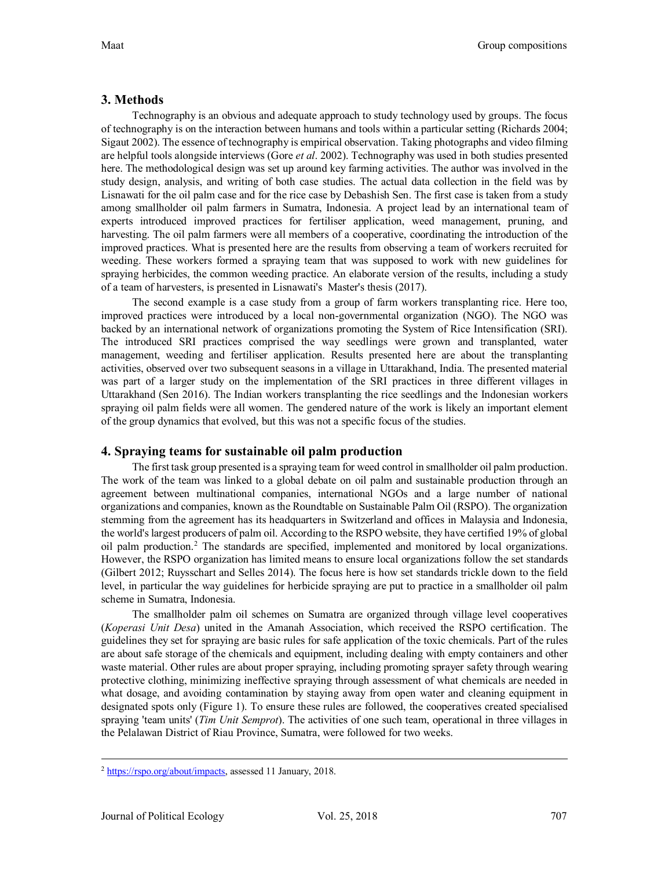# **3. Methods**

Technography is an obvious and adequate approach to study technology used by groups. The focus of technography is on the interaction between humans and tools within a particular setting (Richards 2004; Sigaut 2002). The essence of technography is empirical observation. Taking photographs and video filming are helpful tools alongside interviews (Gore *et al*. 2002). Technography was used in both studies presented here. The methodological design was set up around key farming activities. The author was involved in the study design, analysis, and writing of both case studies. The actual data collection in the field was by Lisnawati for the oil palm case and for the rice case by Debashish Sen. The first case is taken from a study among smallholder oil palm farmers in Sumatra, Indonesia. A project lead by an international team of experts introduced improved practices for fertiliser application, weed management, pruning, and harvesting. The oil palm farmers were all members of a cooperative, coordinating the introduction of the improved practices. What is presented here are the results from observing a team of workers recruited for weeding. These workers formed a spraying team that was supposed to work with new guidelines for spraying herbicides, the common weeding practice. An elaborate version of the results, including a study of a team of harvesters, is presented in Lisnawati's Master's thesis (2017).

The second example is a case study from a group of farm workers transplanting rice. Here too, improved practices were introduced by a local non-governmental organization (NGO). The NGO was backed by an international network of organizations promoting the System of Rice Intensification (SRI). The introduced SRI practices comprised the way seedlings were grown and transplanted, water management, weeding and fertiliser application. Results presented here are about the transplanting activities, observed over two subsequent seasons in a village in Uttarakhand, India. The presented material was part of a larger study on the implementation of the SRI practices in three different villages in Uttarakhand (Sen 2016). The Indian workers transplanting the rice seedlings and the Indonesian workers spraying oil palm fields were all women. The gendered nature of the work is likely an important element of the group dynamics that evolved, but this was not a specific focus of the studies.

## **4. Spraying teams for sustainable oil palm production**

The first task group presented is a spraying team for weed control in smallholder oil palm production. The work of the team was linked to a global debate on oil palm and sustainable production through an agreement between multinational companies, international NGOs and a large number of national organizations and companies, known as the Roundtable on Sustainable Palm Oil (RSPO). The organization stemming from the agreement has its headquarters in Switzerland and offices in Malaysia and Indonesia, the world's largest producers of palm oil. According to the RSPO website, they have certified 19% of global oil palm production.[2](#page-4-0) The standards are specified, implemented and monitored by local organizations. However, the RSPO organization has limited means to ensure local organizations follow the set standards (Gilbert 2012; Ruysschart and Selles 2014). The focus here is how set standards trickle down to the field level, in particular the way guidelines for herbicide spraying are put to practice in a smallholder oil palm scheme in Sumatra, Indonesia.

The smallholder palm oil schemes on Sumatra are organized through village level cooperatives (*Koperasi Unit Desa*) united in the Amanah Association, which received the RSPO certification. The guidelines they set for spraying are basic rules for safe application of the toxic chemicals. Part of the rules are about safe storage of the chemicals and equipment, including dealing with empty containers and other waste material. Other rules are about proper spraying, including promoting sprayer safety through wearing protective clothing, minimizing ineffective spraying through assessment of what chemicals are needed in what dosage, and avoiding contamination by staying away from open water and cleaning equipment in designated spots only (Figure 1). To ensure these rules are followed, the cooperatives created specialised spraying 'team units' (*Tim Unit Semprot*). The activities of one such team, operational in three villages in the Pelalawan District of Riau Province, Sumatra, were followed for two weeks.

ł

<span id="page-4-0"></span><sup>2</sup> [https://rspo.org/about/impacts,](https://rspo.org/about/impacts) assessed 11 January, 2018.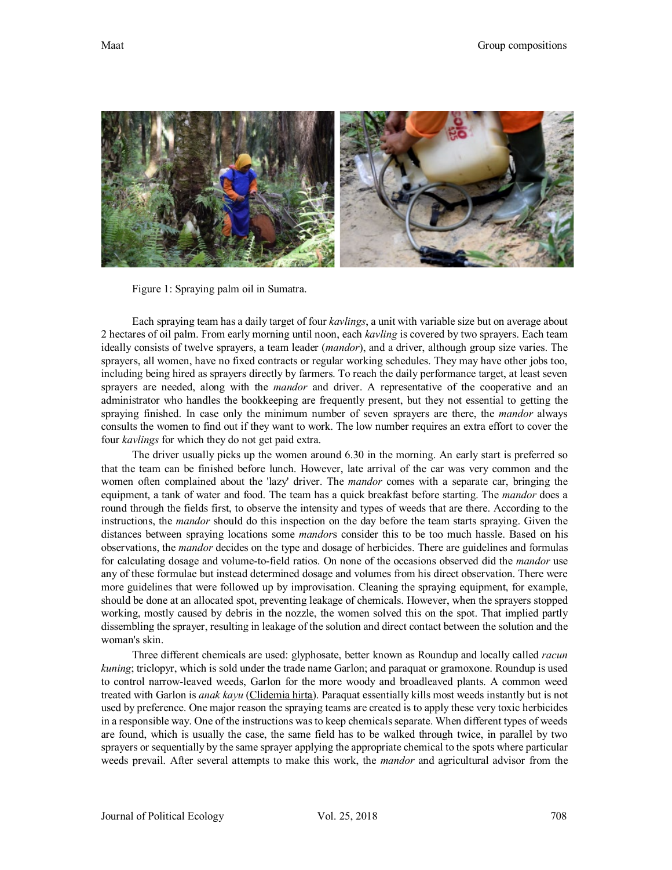

Figure 1: Spraying palm oil in Sumatra.

Each spraying team has a daily target of four *kavlings*, a unit with variable size but on average about 2 hectares of oil palm. From early morning until noon, each *kavling* is covered by two sprayers. Each team ideally consists of twelve sprayers, a team leader (*mandor*), and a driver, although group size varies. The sprayers, all women, have no fixed contracts or regular working schedules. They may have other jobs too, including being hired as sprayers directly by farmers. To reach the daily performance target, at least seven sprayers are needed, along with the *mandor* and driver. A representative of the cooperative and an administrator who handles the bookkeeping are frequently present, but they not essential to getting the spraying finished. In case only the minimum number of seven sprayers are there, the *mandor* always consults the women to find out if they want to work. The low number requires an extra effort to cover the four *kavlings* for which they do not get paid extra.

The driver usually picks up the women around 6.30 in the morning. An early start is preferred so that the team can be finished before lunch. However, late arrival of the car was very common and the women often complained about the 'lazy' driver. The *mandor* comes with a separate car, bringing the equipment, a tank of water and food. The team has a quick breakfast before starting. The *mandor* does a round through the fields first, to observe the intensity and types of weeds that are there. According to the instructions, the *mandor* should do this inspection on the day before the team starts spraying. Given the distances between spraying locations some *mandor*s consider this to be too much hassle. Based on his observations, the *mandor* decides on the type and dosage of herbicides. There are guidelines and formulas for calculating dosage and volume-to-field ratios. On none of the occasions observed did the *mandor* use any of these formulae but instead determined dosage and volumes from his direct observation. There were more guidelines that were followed up by improvisation. Cleaning the spraying equipment, for example, should be done at an allocated spot, preventing leakage of chemicals. However, when the sprayers stopped working, mostly caused by debris in the nozzle, the women solved this on the spot. That implied partly dissembling the sprayer, resulting in leakage of the solution and direct contact between the solution and the woman's skin.

Three different chemicals are used: glyphosate, better known as Roundup and locally called *racun kuning*; triclopyr, which is sold under the trade name Garlon; and paraquat or gramoxone. Roundup is used to control narrow-leaved weeds, Garlon for the more woody and broadleaved plants. A common weed treated with Garlon is *anak kayu* (Clidemia hirta). Paraquat essentially kills most weeds instantly but is not used by preference. One major reason the spraying teams are created is to apply these very toxic herbicides in a responsible way. One of the instructions was to keep chemicals separate. When different types of weeds are found, which is usually the case, the same field has to be walked through twice, in parallel by two sprayers or sequentially by the same sprayer applying the appropriate chemical to the spots where particular weeds prevail. After several attempts to make this work, the *mandor* and agricultural advisor from the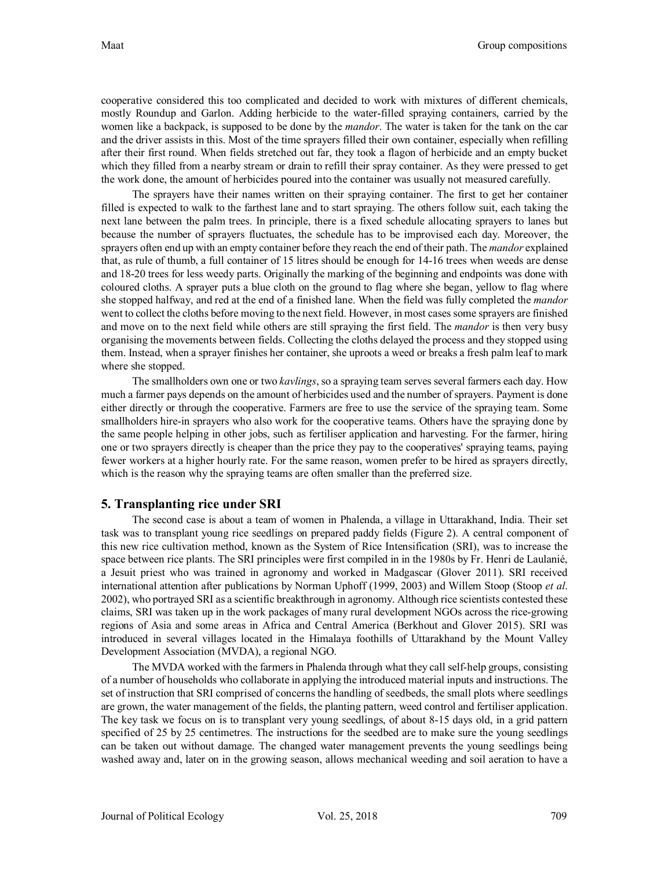cooperative considered this too complicated and decided to work with mixtures of different chemicals, mostly Roundup and Garlon. Adding herbicide to the water-filled spraying containers, carried by the women like a backpack, is supposed to be done by the *mandor*. The water is taken for the tank on the car and the driver assists in this. Most of the time sprayers filled their own container, especially when refilling after their first round. When fields stretched out far, they took a flagon of herbicide and an empty bucket which they filled from a nearby stream or drain to refill their spray container. As they were pressed to get the work done, the amount of herbicides poured into the container was usually not measured carefully.

The sprayers have their names written on their spraying container. The first to get her container filled is expected to walk to the farthest lane and to start spraying. The others follow suit, each taking the next lane between the palm trees. In principle, there is a fixed schedule allocating sprayers to lanes but because the number of sprayers fluctuates, the schedule has to be improvised each day. Moreover, the sprayers often end up with an empty container before they reach the end of their path. The *mandor* explained that, as rule of thumb, a full container of 15 litres should be enough for 14-16 trees when weeds are dense and 18-20 trees for less weedy parts. Originally the marking of the beginning and endpoints was done with coloured cloths. A sprayer puts a blue cloth on the ground to flag where she began, yellow to flag where she stopped halfway, and red at the end of a finished lane. When the field was fully completed the *mandor* went to collect the cloths before moving to the next field. However, in most cases some sprayers are finished and move on to the next field while others are still spraying the first field. The *mandor* is then very busy organising the movements between fields. Collecting the cloths delayed the process and they stopped using them. Instead, when a sprayer finishes her container, she uproots a weed or breaks a fresh palm leaf to mark where she stopped.

The smallholders own one or two *kavlings*, so a spraying team serves several farmers each day. How much a farmer pays depends on the amount of herbicides used and the number of sprayers. Payment is done either directly or through the cooperative. Farmers are free to use the service of the spraying team. Some smallholders hire-in sprayers who also work for the cooperative teams. Others have the spraying done by the same people helping in other jobs, such as fertiliser application and harvesting. For the farmer, hiring one or two sprayers directly is cheaper than the price they pay to the cooperatives' spraying teams, paying fewer workers at a higher hourly rate. For the same reason, women prefer to be hired as sprayers directly, which is the reason why the spraying teams are often smaller than the preferred size.

## **5. Transplanting rice under SRI**

The second case is about a team of women in Phalenda, a village in Uttarakhand, India. Their set task was to transplant young rice seedlings on prepared paddy fields (Figure 2). A central component of this new rice cultivation method, known as the System of Rice Intensification (SRI), was to increase the space between rice plants. The SRI principles were first compiled in in the 1980s by Fr. Henri de Laulanié, a Jesuit priest who was trained in agronomy and worked in Madgascar (Glover 2011). SRI received international attention after publications by Norman Uphoff (1999, 2003) and Willem Stoop (Stoop *et al*. 2002), who portrayed SRI as a scientific breakthrough in agronomy. Although rice scientists contested these claims, SRI was taken up in the work packages of many rural development NGOs across the rice-growing regions of Asia and some areas in Africa and Central America (Berkhout and Glover 2015). SRI was introduced in several villages located in the Himalaya foothills of Uttarakhand by the Mount Valley Development Association (MVDA), a regional NGO.

The MVDA worked with the farmers in Phalenda through what they call self-help groups, consisting of a number of households who collaborate in applying the introduced material inputs and instructions. The set of instruction that SRI comprised of concerns the handling of seedbeds, the small plots where seedlings are grown, the water management of the fields, the planting pattern, weed control and fertiliser application. The key task we focus on is to transplant very young seedlings, of about 8-15 days old, in a grid pattern specified of 25 by 25 centimetres. The instructions for the seedbed are to make sure the young seedlings can be taken out without damage. The changed water management prevents the young seedlings being washed away and, later on in the growing season, allows mechanical weeding and soil aeration to have a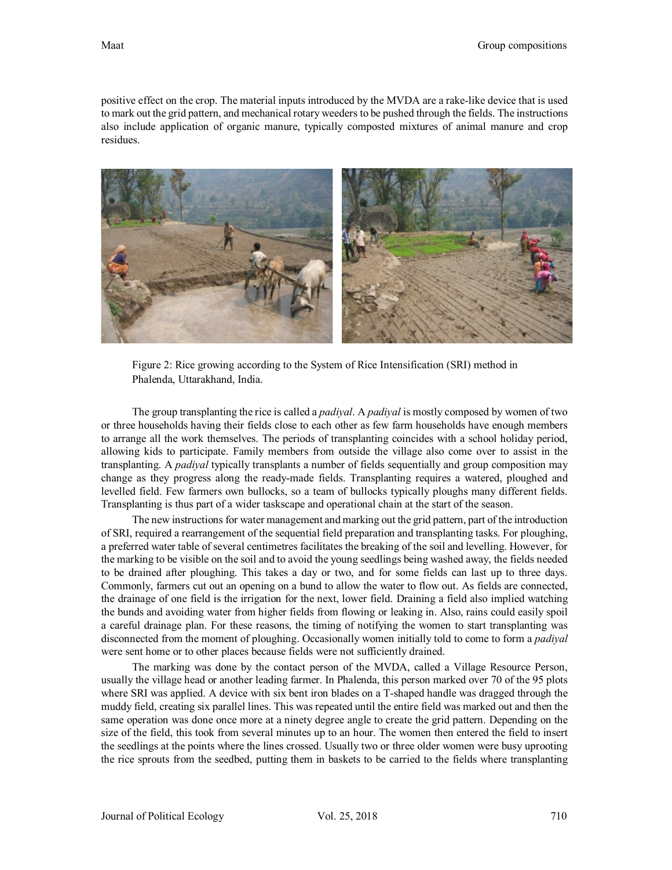

Figure 2: Rice growing according to the System of Rice Intensification (SRI) method in Phalenda, Uttarakhand, India.

The group transplanting the rice is called a *padiyal*. A *padiyal* is mostly composed by women of two or three households having their fields close to each other as few farm households have enough members to arrange all the work themselves. The periods of transplanting coincides with a school holiday period, allowing kids to participate. Family members from outside the village also come over to assist in the transplanting. A *padiyal* typically transplants a number of fields sequentially and group composition may change as they progress along the ready-made fields. Transplanting requires a watered, ploughed and levelled field. Few farmers own bullocks, so a team of bullocks typically ploughs many different fields. Transplanting is thus part of a wider taskscape and operational chain at the start of the season.

The new instructions for water management and marking out the grid pattern, part of the introduction of SRI, required a rearrangement of the sequential field preparation and transplanting tasks. For ploughing, a preferred water table of several centimetres facilitates the breaking of the soil and levelling. However, for the marking to be visible on the soil and to avoid the young seedlings being washed away, the fields needed to be drained after ploughing. This takes a day or two, and for some fields can last up to three days. Commonly, farmers cut out an opening on a bund to allow the water to flow out. As fields are connected, the drainage of one field is the irrigation for the next, lower field. Draining a field also implied watching the bunds and avoiding water from higher fields from flowing or leaking in. Also, rains could easily spoil a careful drainage plan. For these reasons, the timing of notifying the women to start transplanting was disconnected from the moment of ploughing. Occasionally women initially told to come to form a *padiyal* were sent home or to other places because fields were not sufficiently drained.

The marking was done by the contact person of the MVDA, called a Village Resource Person, usually the village head or another leading farmer. In Phalenda, this person marked over 70 of the 95 plots where SRI was applied. A device with six bent iron blades on a T-shaped handle was dragged through the muddy field, creating six parallel lines. This was repeated until the entire field was marked out and then the same operation was done once more at a ninety degree angle to create the grid pattern. Depending on the size of the field, this took from several minutes up to an hour. The women then entered the field to insert the seedlings at the points where the lines crossed. Usually two or three older women were busy uprooting the rice sprouts from the seedbed, putting them in baskets to be carried to the fields where transplanting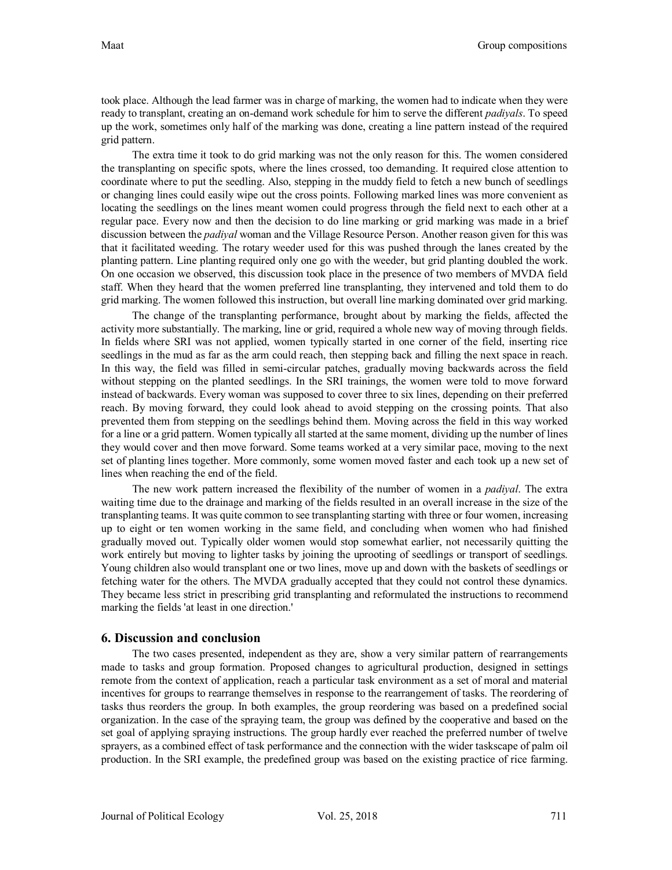took place. Although the lead farmer was in charge of marking, the women had to indicate when they were ready to transplant, creating an on-demand work schedule for him to serve the different *padiyals*. To speed up the work, sometimes only half of the marking was done, creating a line pattern instead of the required grid pattern.

The extra time it took to do grid marking was not the only reason for this. The women considered the transplanting on specific spots, where the lines crossed, too demanding. It required close attention to coordinate where to put the seedling. Also, stepping in the muddy field to fetch a new bunch of seedlings or changing lines could easily wipe out the cross points. Following marked lines was more convenient as locating the seedlings on the lines meant women could progress through the field next to each other at a regular pace. Every now and then the decision to do line marking or grid marking was made in a brief discussion between the *padiyal* woman and the Village Resource Person. Another reason given for this was that it facilitated weeding. The rotary weeder used for this was pushed through the lanes created by the planting pattern. Line planting required only one go with the weeder, but grid planting doubled the work. On one occasion we observed, this discussion took place in the presence of two members of MVDA field staff. When they heard that the women preferred line transplanting, they intervened and told them to do grid marking. The women followed this instruction, but overall line marking dominated over grid marking.

The change of the transplanting performance, brought about by marking the fields, affected the activity more substantially. The marking, line or grid, required a whole new way of moving through fields. In fields where SRI was not applied, women typically started in one corner of the field, inserting rice seedlings in the mud as far as the arm could reach, then stepping back and filling the next space in reach. In this way, the field was filled in semi-circular patches, gradually moving backwards across the field without stepping on the planted seedlings. In the SRI trainings, the women were told to move forward instead of backwards. Every woman was supposed to cover three to six lines, depending on their preferred reach. By moving forward, they could look ahead to avoid stepping on the crossing points. That also prevented them from stepping on the seedlings behind them. Moving across the field in this way worked for a line or a grid pattern. Women typically all started at the same moment, dividing up the number of lines they would cover and then move forward. Some teams worked at a very similar pace, moving to the next set of planting lines together. More commonly, some women moved faster and each took up a new set of lines when reaching the end of the field.

The new work pattern increased the flexibility of the number of women in a *padiyal*. The extra waiting time due to the drainage and marking of the fields resulted in an overall increase in the size of the transplanting teams. It was quite common to see transplanting starting with three or four women, increasing up to eight or ten women working in the same field, and concluding when women who had finished gradually moved out. Typically older women would stop somewhat earlier, not necessarily quitting the work entirely but moving to lighter tasks by joining the uprooting of seedlings or transport of seedlings. Young children also would transplant one or two lines, move up and down with the baskets of seedlings or fetching water for the others. The MVDA gradually accepted that they could not control these dynamics. They became less strict in prescribing grid transplanting and reformulated the instructions to recommend marking the fields 'at least in one direction.'

### **6. Discussion and conclusion**

The two cases presented, independent as they are, show a very similar pattern of rearrangements made to tasks and group formation. Proposed changes to agricultural production, designed in settings remote from the context of application, reach a particular task environment as a set of moral and material incentives for groups to rearrange themselves in response to the rearrangement of tasks. The reordering of tasks thus reorders the group. In both examples, the group reordering was based on a predefined social organization. In the case of the spraying team, the group was defined by the cooperative and based on the set goal of applying spraying instructions. The group hardly ever reached the preferred number of twelve sprayers, as a combined effect of task performance and the connection with the wider taskscape of palm oil production. In the SRI example, the predefined group was based on the existing practice of rice farming.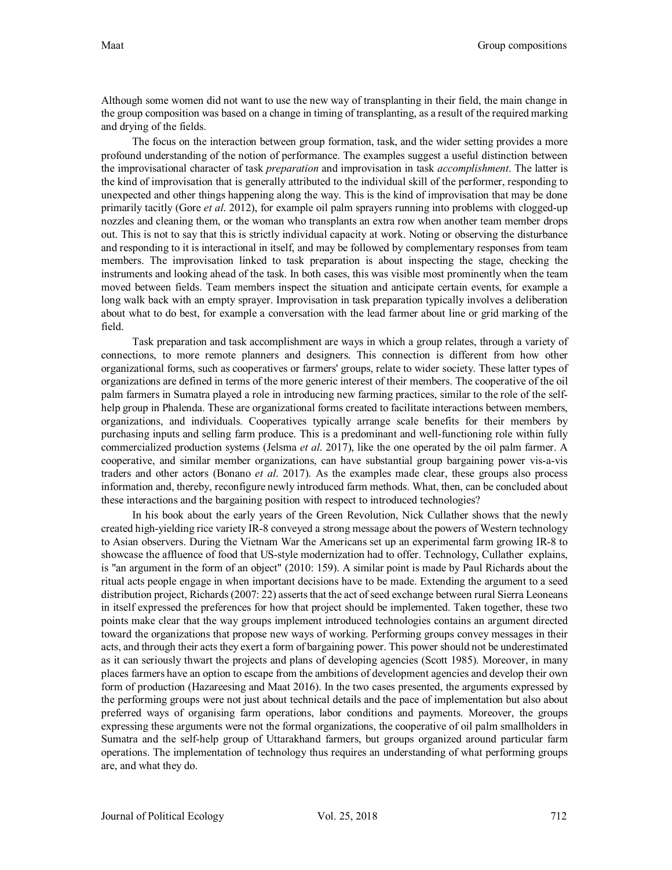Although some women did not want to use the new way of transplanting in their field, the main change in the group composition was based on a change in timing of transplanting, as a result of the required marking and drying of the fields.

The focus on the interaction between group formation, task, and the wider setting provides a more profound understanding of the notion of performance. The examples suggest a useful distinction between the improvisational character of task *preparation* and improvisation in task *accomplishment*. The latter is the kind of improvisation that is generally attributed to the individual skill of the performer, responding to unexpected and other things happening along the way. This is the kind of improvisation that may be done primarily tacitly (Gore *et al*. 2012), for example oil palm sprayers running into problems with clogged-up nozzles and cleaning them, or the woman who transplants an extra row when another team member drops out. This is not to say that this is strictly individual capacity at work. Noting or observing the disturbance and responding to it is interactional in itself, and may be followed by complementary responses from team members. The improvisation linked to task preparation is about inspecting the stage, checking the instruments and looking ahead of the task. In both cases, this was visible most prominently when the team moved between fields. Team members inspect the situation and anticipate certain events, for example a long walk back with an empty sprayer. Improvisation in task preparation typically involves a deliberation about what to do best, for example a conversation with the lead farmer about line or grid marking of the field.

Task preparation and task accomplishment are ways in which a group relates, through a variety of connections, to more remote planners and designers. This connection is different from how other organizational forms, such as cooperatives or farmers' groups, relate to wider society. These latter types of organizations are defined in terms of the more generic interest of their members. The cooperative of the oil palm farmers in Sumatra played a role in introducing new farming practices, similar to the role of the selfhelp group in Phalenda. These are organizational forms created to facilitate interactions between members, organizations, and individuals. Cooperatives typically arrange scale benefits for their members by purchasing inputs and selling farm produce. This is a predominant and well-functioning role within fully commercialized production systems (Jelsma *et al*. 2017), like the one operated by the oil palm farmer. A cooperative, and similar member organizations, can have substantial group bargaining power vis-a-vis traders and other actors (Bonano *et al*. 2017). As the examples made clear, these groups also process information and, thereby, reconfigure newly introduced farm methods. What, then, can be concluded about these interactions and the bargaining position with respect to introduced technologies?

In his book about the early years of the Green Revolution, Nick Cullather shows that the newly created high-yielding rice variety IR-8 conveyed a strong message about the powers of Western technology to Asian observers. During the Vietnam War the Americans set up an experimental farm growing IR-8 to showcase the affluence of food that US-style modernization had to offer. Technology, Cullather explains, is "an argument in the form of an object" (2010: 159). A similar point is made by Paul Richards about the ritual acts people engage in when important decisions have to be made. Extending the argument to a seed distribution project, Richards (2007: 22) asserts that the act of seed exchange between rural Sierra Leoneans in itself expressed the preferences for how that project should be implemented. Taken together, these two points make clear that the way groups implement introduced technologies contains an argument directed toward the organizations that propose new ways of working. Performing groups convey messages in their acts, and through their acts they exert a form of bargaining power. This power should not be underestimated as it can seriously thwart the projects and plans of developing agencies (Scott 1985). Moreover, in many places farmers have an option to escape from the ambitions of development agencies and develop their own form of production (Hazareesing and Maat 2016). In the two cases presented, the arguments expressed by the performing groups were not just about technical details and the pace of implementation but also about preferred ways of organising farm operations, labor conditions and payments. Moreover, the groups expressing these arguments were not the formal organizations, the cooperative of oil palm smallholders in Sumatra and the self-help group of Uttarakhand farmers, but groups organized around particular farm operations. The implementation of technology thus requires an understanding of what performing groups are, and what they do.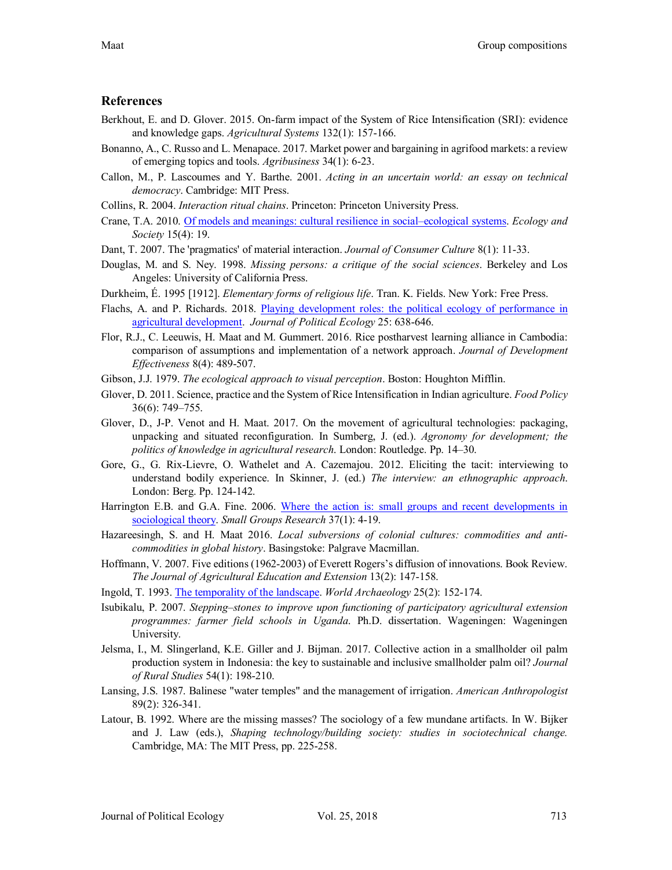#### **References**

- Berkhout, E. and D. Glover. 2015. On-farm impact of the System of Rice Intensification (SRI): evidence and knowledge gaps. *Agricultural Systems* 132(1): 157-166.
- Bonanno, A., C. Russo and L. Menapace. 2017. Market power and bargaining in agrifood markets: a review of emerging topics and tools. *Agribusiness* 34(1): 6-23.
- Callon, M., P. Lascoumes and Y. Barthe. 2001. *Acting in an uncertain world: an essay on technical democracy*. Cambridge: MIT Press.
- Collins, R. 2004. *Interaction ritual chains*. Princeton: Princeton University Press.
- Crane, T.A. 2010. [Of models and meanings: cultural resilience in social–ecological systems.](https://www.ecologyandsociety.org/vol15/iss4/art19/) *Ecology and Society* 15(4): 19.
- Dant, T. 2007. The 'pragmatics' of material interaction. *Journal of Consumer Culture* 8(1): 11-33.
- Douglas, M. and S. Ney. 1998. *Missing persons: a critique of the social sciences*. Berkeley and Los Angeles: University of California Press.
- Durkheim, É. 1995 [1912]. *Elementary forms of religious life*. Tran. K. Fields. New York: Free Press.
- Flachs, A. and P. Richards. 2018. Playing development roles: the political ecology of performance in [agricultural development.](https://journals.uair.arizona.edu/index.php/JPE/article/view/23089) *Journal of Political Ecology* 25: 638-646.
- Flor, R.J., C. Leeuwis, H. Maat and M. Gummert. 2016. Rice postharvest learning alliance in Cambodia: comparison of assumptions and implementation of a network approach. *Journal of Development Effectiveness* 8(4): 489-507.
- Gibson, J.J. 1979. *The ecological approach to visual perception*. Boston: Houghton Mifflin.
- Glover, D. 2011. Science, practice and the System of Rice Intensification in Indian agriculture. *Food Policy* 36(6): 749–755.
- Glover, D., J-P. Venot and H. Maat. 2017. On the movement of agricultural technologies: packaging, unpacking and situated reconfiguration. In Sumberg, J. (ed.). *Agronomy for development; the politics of knowledge in agricultural research*. London: Routledge. Pp. 14–30.
- Gore, G., G. Rix-Lievre, O. Wathelet and A. Cazemajou. 2012. Eliciting the tacit: interviewing to understand bodily experience. In Skinner, J. (ed.) *The interview: an ethnographic approach*. London: Berg. Pp. 124-142.
- Harrington E.B. and G.A. Fine. 2006. [Where the action is: small groups and recent developments in](https://works.bepress.com/brooke_harrington/13/download/)  [sociological theory.](https://works.bepress.com/brooke_harrington/13/download/) *Small Groups Research* 37(1): 4-19.
- Hazareesingh, S. and H. Maat 2016. *Local subversions of colonial cultures: commodities and anticommodities in global history*. Basingstoke: Palgrave Macmillan.
- Hoffmann, V. 2007. Five editions (1962-2003) of Everett Rogers's diffusion of innovations. Book Review. *The Journal of Agricultural Education and Extension* 13(2): 147-158.
- Ingold, T. 1993[. The temporality of the landscape.](https://quote.ucsd.edu/sed/files/2014/09/Ingold-Temporality-of-the-Landscape.pdf) *World Archaeology* 25(2): 152-174.
- Isubikalu, P. 2007. *Stepping–stones to improve upon functioning of participatory agricultural extension programmes: farmer field schools in Uganda*. Ph.D. dissertation. Wageningen: Wageningen University.
- Jelsma, I., M. Slingerland, K.E. Giller and J. Bijman. 2017. Collective action in a smallholder oil palm production system in Indonesia: the key to sustainable and inclusive smallholder palm oil? *Journal of Rural Studies* 54(1): 198-210.
- Lansing, J.S. 1987. Balinese "water temples" and the management of irrigation. *American Anthropologist* 89(2): 326-341.
- Latour, B. 1992. Where are the missing masses? The sociology of a few mundane artifacts. In W. Bijker and J. Law (eds.), *Shaping technology/building society: studies in sociotechnical change.* Cambridge, MA: The MIT Press, pp. 225-258.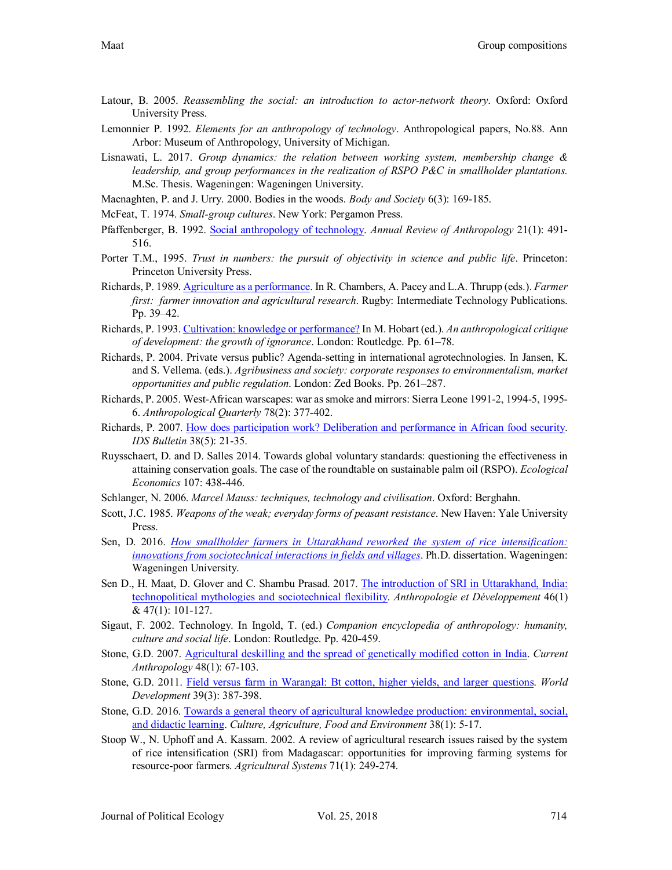- Latour, B. 2005. *Reassembling the social: an introduction to actor-network theory*. Oxford: Oxford University Press.
- Lemonnier P. 1992. *Elements for an anthropology of technology*. Anthropological papers, No.88. Ann Arbor: Museum of Anthropology, University of Michigan.
- Lisnawati, L. 2017. *Group dynamics: the relation between working system, membership change & leadership, and group performances in the realization of RSPO P&C in smallholder plantations.* M.Sc. Thesis. Wageningen: Wageningen University.
- Macnaghten, P. and J. Urry. 2000. [Bodies in the woods.](https://journals.sagepub.com/doi/abs/10.1177/1357034X00006003009?casa_token=2gZk6Atv-_EAAAAA%3A-9cDwAHgKH9ZbJKVq4vNUNZJ6YbHlj2G74JtTrxouRs__Q-RxKMaxoYoXdIhW4VsrJzZ7Ix2HzQw) *Body and Society* 6(3): 169-185.
- McFeat, T. 1974. *Small-group cultures*. New York: Pergamon Press.
- Pfaffenberger, B. 1992. [Social anthropology of technology.](https://www.annualreviews.org/doi/abs/10.1146/annurev.an.21.100192.002423?casa_token=rs7T_Y2DqjEAAAAA%3A57ztGNd9xOupZmvNgh5TDcuVW0vGtmorkfDftW6oMJmxf1zf4ubMItQTe6v9tUPe40Hv4RcBeone&journalCode=anthro) *Annual Review of Anthropology* 21(1): 491- 516.
- Porter T.M., 1995. *Trust in numbers: the pursuit of objectivity in science and public life*. Princeton: Princeton University Press.
- Richards, P. 1989. [Agriculture as a performance.](http://www.simonbatterbury.net/Richards%20Agriculture%20as%20performance%201989%20%28002%29.pdf) In R. Chambers, A. Pacey and L.A. Thrupp (eds.). *Farmer first: farmer innovation and agricultural research*. Rugby: Intermediate Technology Publications. Pp. 39–42.
- Richards, P. 1993. [Cultivation: knowledge or performance?](http://www.simonbatterbury.net/RIchards%20Cultivation%20K%20or%20performance%201993%20%28002%29.pdf) In M. Hobart (ed.). *An anthropological critique of development: the growth of ignorance*. London: Routledge. Pp. 61–78.
- Richards, P. 2004. Private versus public? Agenda-setting in international agrotechnologies. In Jansen, K. and S. Vellema. (eds.). *Agribusiness and society: corporate responses to environmentalism, market opportunities and public regulation*. London: Zed Books. Pp. 261–287.
- Richards, P. 2005. West-African warscapes: war as smoke and mirrors: Sierra Leone 1991-2, 1994-5, 1995- 6. *Anthropological Quarterly* 78(2): 377-402.
- Richards, P. 2007. [How does participation work? Deliberation and performance in African food security.](https://onlinelibrary.wiley.com/doi/abs/10.1111/j.1759-5436.2005.tb00406.x) *IDS Bulletin* 38(5): 21-35.
- Ruysschaert, D. and D. Salles 2014. Towards global voluntary standards: questioning the effectiveness in attaining conservation goals. The case of the roundtable on sustainable palm oil (RSPO). *Ecological Economics* 107: 438-446.
- Schlanger, N. 2006. *Marcel Mauss: techniques, technology and civilisation*. Oxford: Berghahn.
- Scott, J.C. 1985. *Weapons of the weak; everyday forms of peasant resistance*. New Haven: Yale University Press.
- Sen, D. 2016. *[How smallholder farmers in Uttarakhand reworked the system of rice intensification:](http://edepot.wur.nl/361917)  [innovations from sociotechnical interactions in fields and villages](http://edepot.wur.nl/361917)*. Ph.D. dissertation. Wageningen: Wageningen University.
- Sen D., H. Maat, D. Glover and C. Shambu Prasad. 2017. The introduction of SRI in Uttarakhand, India: [technopolitical mythologies and sociotechnical flexibility.](https://journals.openedition.org/anthropodev/595) *Anthropologie et Développement* 46(1) & 47(1): 101-127.
- Sigaut, F. 2002. Technology. In Ingold, T. (ed.) *Companion encyclopedia of anthropology: humanity, culture and social life*. London: Routledge. Pp. 420-459.
- Stone, G.D. 2007. [Agricultural deskilling and the spread of genetically modified cotton in India.](https://pages.wustl.edu/files/pages/imce/stone/stone480102.web_.pdf) *Current Anthropology* 48(1): 67-103.
- Stone, G.D. 2011. [Field versus farm in Warangal: Bt cotton, higher yields, and larger questions.](https://pages.wustl.edu/files/pages/imce/stone/wd2456.pdf) *World Development* 39(3): 387-398.
- Stone, G.D. 2016[. Towards a general theory of agricultural knowledge production: environmental, social,](https://pages.wustl.edu/files/pages/imce/stone/stone_2016_cafe_0.pdf)  [and didactic learning.](https://pages.wustl.edu/files/pages/imce/stone/stone_2016_cafe_0.pdf) *Culture, Agriculture, Food and Environment* 38(1): 5-17.
- Stoop W., N. Uphoff and A. Kassam. 2002. A review of agricultural research issues raised by the system of rice intensification (SRI) from Madagascar: opportunities for improving farming systems for resource-poor farmers. *Agricultural Systems* 71(1): 249-274.